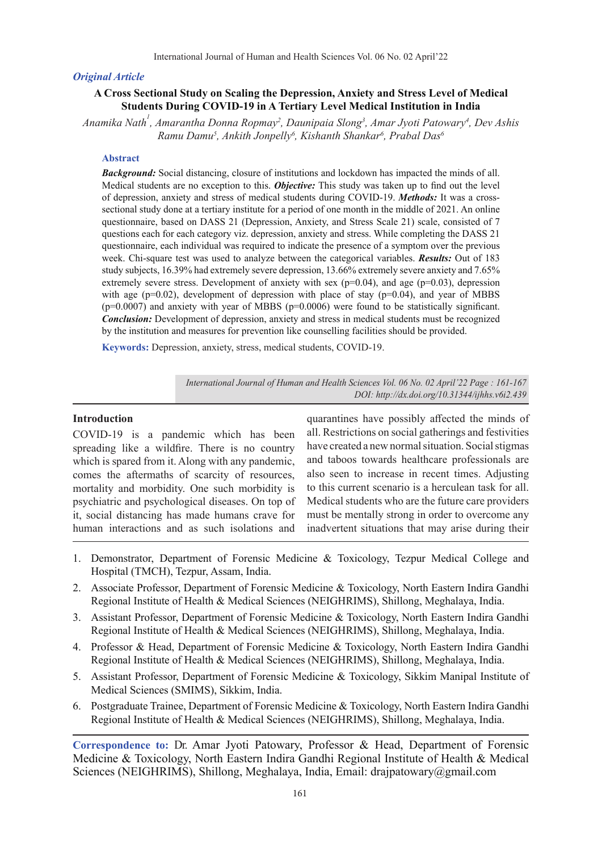## *Original Article*

# **A Cross Sectional Study on Scaling the Depression, Anxiety and Stress Level of Medical Students During COVID-19 in A Tertiary Level Medical Institution in India**

*Anamika Nath1 , Amarantha Donna Ropmay2 , Daunipaia Slong3 , Amar Jyoti Patowary4 , Dev Ashis Ramu Damu5 , Ankith Jonpelly6 , Kishanth Shankar6 , Prabal Das6*

#### **Abstract**

*Background:* Social distancing, closure of institutions and lockdown has impacted the minds of all. Medical students are no exception to this. *Objective:* This study was taken up to find out the level of depression, anxiety and stress of medical students during COVID-19. *Methods:* It was a crosssectional study done at a tertiary institute for a period of one month in the middle of 2021. An online questionnaire, based on DASS 21 (Depression, Anxiety, and Stress Scale 21) scale, consisted of 7 questions each for each category viz. depression, anxiety and stress. While completing the DASS 21 questionnaire, each individual was required to indicate the presence of a symptom over the previous week. Chi-square test was used to analyze between the categorical variables. *Results:* Out of 183 study subjects, 16.39% had extremely severe depression, 13.66% extremely severe anxiety and 7.65% extremely severe stress. Development of anxiety with sex  $(p=0.04)$ , and age  $(p=0.03)$ , depression with age ( $p=0.02$ ), development of depression with place of stay ( $p=0.04$ ), and year of MBBS  $(p=0.0007)$  and anxiety with year of MBBS  $(p=0.0006)$  were found to be statistically significant. *Conclusion:* Development of depression, anxiety and stress in medical students must be recognized by the institution and measures for prevention like counselling facilities should be provided.

**Keywords:** Depression, anxiety, stress, medical students, COVID-19.

*International Journal of Human and Health Sciences Vol. 06 No. 02 April'22 Page : 161-167 DOI: http://dx.doi.org/10.31344/ijhhs.v6i2.439*

## **Introduction**

COVID-19 is a pandemic which has been spreading like a wildfire. There is no country which is spared from it. Along with any pandemic, comes the aftermaths of scarcity of resources, mortality and morbidity. One such morbidity is psychiatric and psychological diseases. On top of it, social distancing has made humans crave for human interactions and as such isolations and

quarantines have possibly affected the minds of all. Restrictions on social gatherings and festivities have created a new normal situation. Social stigmas and taboos towards healthcare professionals are also seen to increase in recent times. Adjusting to this current scenario is a herculean task for all. Medical students who are the future care providers must be mentally strong in order to overcome any inadvertent situations that may arise during their

- 1. Demonstrator, Department of Forensic Medicine & Toxicology, Tezpur Medical College and Hospital (TMCH), Tezpur, Assam, India.
- 2. Associate Professor, Department of Forensic Medicine & Toxicology, North Eastern Indira Gandhi Regional Institute of Health & Medical Sciences (NEIGHRIMS), Shillong, Meghalaya, India.
- 3. Assistant Professor, Department of Forensic Medicine & Toxicology, North Eastern Indira Gandhi Regional Institute of Health & Medical Sciences (NEIGHRIMS), Shillong, Meghalaya, India.
- 4. Professor & Head, Department of Forensic Medicine & Toxicology, North Eastern Indira Gandhi Regional Institute of Health & Medical Sciences (NEIGHRIMS), Shillong, Meghalaya, India.
- 5. Assistant Professor, Department of Forensic Medicine & Toxicology, Sikkim Manipal Institute of Medical Sciences (SMIMS), Sikkim, India.
- 6. Postgraduate Trainee, Department of Forensic Medicine & Toxicology, North Eastern Indira Gandhi Regional Institute of Health & Medical Sciences (NEIGHRIMS), Shillong, Meghalaya, India.

**Correspondence to:** Dr. Amar Jyoti Patowary, Professor & Head, Department of Forensic Medicine & Toxicology, North Eastern Indira Gandhi Regional Institute of Health & Medical Sciences (NEIGHRIMS), Shillong, Meghalaya, India, Email: drajpatowary@gmail.com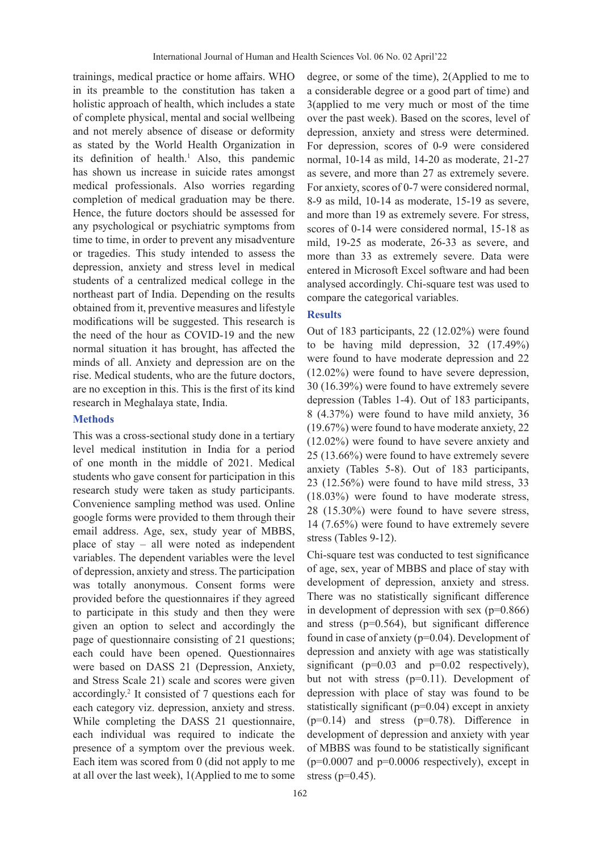trainings, medical practice or home affairs. WHO in its preamble to the constitution has taken a holistic approach of health, which includes a state of complete physical, mental and social wellbeing and not merely absence of disease or deformity as stated by the World Health Organization in its definition of health.<sup>1</sup> Also, this pandemic has shown us increase in suicide rates amongst medical professionals. Also worries regarding completion of medical graduation may be there. Hence, the future doctors should be assessed for any psychological or psychiatric symptoms from time to time, in order to prevent any misadventure or tragedies. This study intended to assess the depression, anxiety and stress level in medical students of a centralized medical college in the northeast part of India. Depending on the results obtained from it, preventive measures and lifestyle modifications will be suggested. This research is the need of the hour as COVID-19 and the new normal situation it has brought, has affected the minds of all. Anxiety and depression are on the rise. Medical students, who are the future doctors, are no exception in this. This is the first of its kind research in Meghalaya state, India.

#### **Methods**

This was a cross-sectional study done in a tertiary level medical institution in India for a period of one month in the middle of 2021. Medical students who gave consent for participation in this research study were taken as study participants. Convenience sampling method was used. Online google forms were provided to them through their email address. Age, sex, study year of MBBS, place of stay – all were noted as independent variables. The dependent variables were the level of depression, anxiety and stress. The participation was totally anonymous. Consent forms were provided before the questionnaires if they agreed to participate in this study and then they were given an option to select and accordingly the page of questionnaire consisting of 21 questions; each could have been opened. Questionnaires were based on DASS 21 (Depression, Anxiety, and Stress Scale 21) scale and scores were given accordingly.2 It consisted of 7 questions each for each category viz. depression, anxiety and stress. While completing the DASS 21 questionnaire, each individual was required to indicate the presence of a symptom over the previous week. Each item was scored from 0 (did not apply to me at all over the last week), 1(Applied to me to some

degree, or some of the time), 2(Applied to me to a considerable degree or a good part of time) and 3(applied to me very much or most of the time over the past week). Based on the scores, level of depression, anxiety and stress were determined. For depression, scores of 0-9 were considered normal, 10-14 as mild, 14-20 as moderate, 21-27 as severe, and more than 27 as extremely severe. For anxiety, scores of 0-7 were considered normal, 8-9 as mild, 10-14 as moderate, 15-19 as severe, and more than 19 as extremely severe. For stress, scores of 0-14 were considered normal, 15-18 as mild, 19-25 as moderate, 26-33 as severe, and more than 33 as extremely severe. Data were entered in Microsoft Excel software and had been analysed accordingly. Chi-square test was used to compare the categorical variables.

#### **Results**

Out of 183 participants, 22 (12.02%) were found to be having mild depression, 32 (17.49%) were found to have moderate depression and 22 (12.02%) were found to have severe depression, 30 (16.39%) were found to have extremely severe depression (Tables 1-4). Out of 183 participants, 8 (4.37%) were found to have mild anxiety, 36 (19.67%) were found to have moderate anxiety, 22 (12.02%) were found to have severe anxiety and 25 (13.66%) were found to have extremely severe anxiety (Tables 5-8). Out of 183 participants, 23 (12.56%) were found to have mild stress, 33 (18.03%) were found to have moderate stress, 28 (15.30%) were found to have severe stress, 14 (7.65%) were found to have extremely severe stress (Tables 9-12).

Chi-square test was conducted to test significance of age, sex, year of MBBS and place of stay with development of depression, anxiety and stress. There was no statistically significant difference in development of depression with sex  $(p=0.866)$ and stress (p=0.564), but significant difference found in case of anxiety (p=0.04). Development of depression and anxiety with age was statistically significant (p=0.03 and p=0.02 respectively), but not with stress (p=0.11). Development of depression with place of stay was found to be statistically significant (p=0.04) except in anxiety  $(p=0.14)$  and stress  $(p=0.78)$ . Difference in development of depression and anxiety with year of MBBS was found to be statistically significant  $(p=0.0007$  and  $p=0.0006$  respectively), except in stress ( $p=0.45$ ).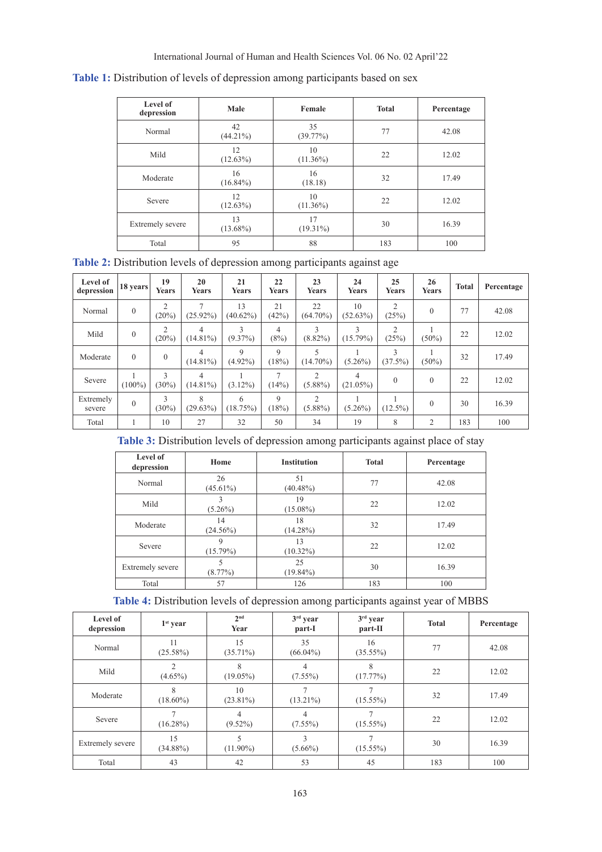|  |  | Table 1: Distribution of levels of depression among participants based on sex |  |
|--|--|-------------------------------------------------------------------------------|--|
|  |  |                                                                               |  |

| Level of<br>depression  | Male              | Female            | <b>Total</b> | Percentage |
|-------------------------|-------------------|-------------------|--------------|------------|
| Normal                  | 42<br>$(44.21\%)$ | 35<br>(39.77%)    | 77           | 42.08      |
| Mild                    | 12<br>(12.63%)    | 10<br>$(11.36\%)$ | 22           | 12.02      |
| Moderate                | 16<br>$(16.84\%)$ | 16<br>(18.18)     | 32           | 17.49      |
| Severe                  | 12<br>$(12.63\%)$ | 10<br>$(11.36\%)$ | 22           | 12.02      |
| <b>Extremely severe</b> | 13<br>$(13.68\%)$ | 17<br>$(19.31\%)$ | 30           | 16.39      |
| Total                   | 95                | 88                | 183          | 100        |

**Table 2:** Distribution levels of depression among participants against age

| Level of<br>depression | 18 years       | 19<br>Years             | 20<br>Years                   | 21<br><b>Years</b> | 22<br>Years             | 23<br>Years                  | 24<br>Years      | 25<br>Years             | 26<br>Years    | <b>Total</b> | Percentage |
|------------------------|----------------|-------------------------|-------------------------------|--------------------|-------------------------|------------------------------|------------------|-------------------------|----------------|--------------|------------|
| Normal                 | $\overline{0}$ | 2<br>(20%)              | $\overline{7}$<br>$(25.92\%)$ | 13<br>$(40.62\%)$  | 21<br>(42%)             | 22<br>$(64.70\%)$            | 10<br>(52.63%)   | $\overline{c}$<br>(25%) | $\theta$       | 77           | 42.08      |
| Mild                   | $\overline{0}$ | $\overline{2}$<br>(20%) | 4<br>$(14.81\%)$              | 3<br>$(9.37\%)$    | 4<br>(8%)               | 3<br>$(8.82\%)$              | 3<br>$(15.79\%)$ | $\overline{2}$<br>(25%) | $(50\%)$       | 22           | 12.02      |
| Moderate               | $\theta$       | $\theta$                | 4<br>$(14.81\%)$              | 9<br>$(4.92\%)$    | 9<br>(18%)              | 5<br>$(14.70\%)$             | $(5.26\%)$       | 3<br>(37.5%)            | $(50\%)$       | 32           | 17.49      |
| Severe                 | $(100\%)$      | 3<br>$(30\%)$           | 4<br>$(14.81\%)$              | $(3.12\%)$         | $\overline{ }$<br>(14%) | 2<br>$(5.88\%)$              | 4<br>$(21.05\%)$ | $\theta$                | $\theta$       | 22           | 12.02      |
| Extremely<br>severe    | $\theta$       | 3<br>$(30\%)$           | 8<br>(29.63%)                 | 6<br>(18.75%)      | $\mathbf Q$<br>(18%)    | $\overline{c}$<br>$(5.88\%)$ | $(5.26\%)$       | $(12.5\%)$              | $\theta$       | 30           | 16.39      |
| Total                  |                | 10                      | 27                            | 32                 | 50                      | 34                           | 19               | 8                       | $\overline{2}$ | 183          | 100        |

**Table 3:** Distribution levels of depression among participants against place of stay

| Level of<br>depression | Home                            | <b>Institution</b> | <b>Total</b> | Percentage |
|------------------------|---------------------------------|--------------------|--------------|------------|
| Normal                 | 26<br>$(45.61\%)$               | 51<br>$(40.48\%)$  | 77           | 42.08      |
| Mild                   | 19<br>$(5.26\%)$<br>$(15.08\%)$ |                    | 22           | 12.02      |
| Moderate               | 14<br>$(24.56\%)$               | 18<br>$(14.28\%)$  | 32           | 17.49      |
| Severe                 | 9<br>$(15.79\%)$                | 13<br>$(10.32\%)$  | 22           | 12.02      |
| Extremely severe       | $(8.77\%)$                      | 25<br>$(19.84\%)$  | 30           | 16.39      |
| Total                  | 57                              | 126                | 183          | 100        |

**Table 4:** Distribution levels of depression among participants against year of MBBS

| Level of<br>depression | $1st$ year        | 2 <sub>nd</sub><br>Year | $3rd$ year<br>part-I          | $3rd$ year<br>part-II | <b>Total</b> | Percentage |
|------------------------|-------------------|-------------------------|-------------------------------|-----------------------|--------------|------------|
| Normal                 | 11<br>$(25.58\%)$ | 15<br>$(35.71\%)$       | 35<br>$(66.04\%)$             | 16<br>(35.55%)        | 77           | 42.08      |
| Mild                   | 2<br>$(4.65\%)$   | 8<br>$(19.05\%)$        | 4<br>$(7.55\%)$               | 8<br>(17.77%)         | 22           | 12.02      |
| Moderate               | 8<br>$(18.60\%)$  | 10<br>$(23.81\%)$       | $\overline{7}$<br>$(13.21\%)$ | $(15.55\%)$           | 32           | 17.49      |
| Severe                 | $(16.28\%)$       | 4<br>$(9.52\%)$         | 4<br>$(7.55\%)$               | $(15.55\%)$           | 22           | 12.02      |
| Extremely severe       | 15<br>$(34.88\%)$ | 5<br>$(11.90\%)$        | 3<br>$(5.66\%)$               | $(15.55\%)$           | 30           | 16.39      |
| Total                  | 43                | 42                      | 53                            | 45                    | 183          | 100        |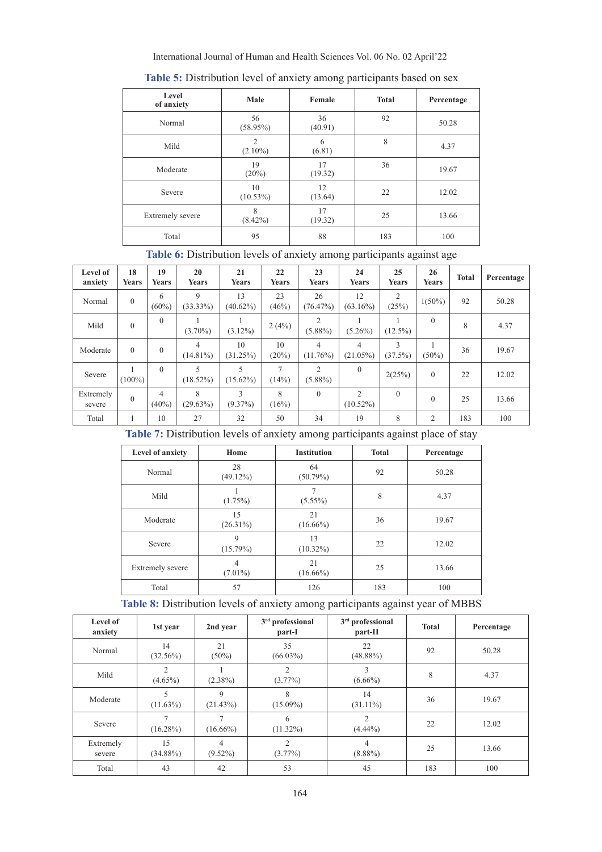## International Journal of Human and Health Sciences Vol. 06 No. 02 April'22

| Level<br>of anxiety | Male                         | Female        | <b>Total</b> | Percentage |
|---------------------|------------------------------|---------------|--------------|------------|
| Normal              | 56<br>$(58.95\%)$            | 36<br>(40.91) | 92           | 50.28      |
| Mild                | $\overline{2}$<br>$(2.10\%)$ | 6<br>(6.81)   | 8            | 4.37       |
| Moderate            | 19<br>(20%)                  | 17<br>(19.32) | 36           | 19.67      |
| Severe              | 10<br>$(10.53\%)$            | 12<br>(13.64) | 22           | 12.02      |
| Extremely severe    | 8<br>$(8.42\%)$              | 17<br>(19.32) | 25           | 13.66      |
| Total               | 95                           | 88            | 183          | 100        |

**Table 5:** Distribution level of anxiety among participants based on sex

**Table 6:** Distribution levels of anxiety among participants against age

| Level of<br>anxiety | 18<br><b>Years</b> | 19<br><b>Years</b>         | 20<br>Years                             | 21<br>Years       | 22<br><b>Years</b>      | 23<br>Years                  | 24<br><b>Years</b>            | 25<br><b>Years</b>      | 26<br><b>Years</b> | <b>Total</b> | Percentage |
|---------------------|--------------------|----------------------------|-----------------------------------------|-------------------|-------------------------|------------------------------|-------------------------------|-------------------------|--------------------|--------------|------------|
| Normal              | $\theta$           | 6<br>$(60\%)$              | 9<br>$(33.33\%)$                        | 13<br>$(40.62\%)$ | 23<br>(46%)             | 26<br>(76.47%)               | 12<br>$(63.16\%)$             | $\mathfrak{D}$<br>(25%) | $1(50\%)$          | 92           | 50.28      |
| Mild                | $\theta$           | $\theta$                   | $(3.70\%)$                              | $(3.12\%)$        | 2(4%)                   | $\overline{c}$<br>$(5.88\%)$ | $(5.26\%)$                    | $(12.5\%)$              | $\Omega$           | 8            | 4.37       |
| Moderate            | $\Omega$           | $\mathbf{0}$               | 4<br>$(14.81\%)$                        | 10<br>(31.25%)    | 10<br>(20%)             | 4<br>$(11.76\%)$             | $\overline{4}$<br>$(21.05\%)$ | 3<br>(37.5%)            | $(50\%)$           | 36           | 19.67      |
| Severe              | $(100\%)$          | $\theta$                   | $\overline{\phantom{0}}$<br>$(18.52\%)$ | 5<br>$(15.62\%)$  | $\overline{ }$<br>(14%) | 2<br>$(5.88\%)$              | $\theta$                      | 2(25%)                  | $\Omega$           | 22           | 12.02      |
| Extremely<br>severe | $\theta$           | $\overline{4}$<br>$(40\%)$ | 8<br>(29.63%)                           | 3<br>$(9.37\%)$   | 8<br>(16%)              | $\theta$                     | 2<br>$(10.52\%)$              | $\Omega$                | $\Omega$           | 25           | 13.66      |
| Total               |                    | 10                         | 27                                      | 32                | 50                      | 34                           | 19                            | 8                       | $\overline{c}$     | 183          | 100        |

**Table 7:** Distribution levels of anxiety among participants against place of stay

| Level of anxiety | Home                         | <b>Institution</b> | <b>Total</b> | Percentage |
|------------------|------------------------------|--------------------|--------------|------------|
| Normal           | 28<br>$(49.12\%)$            | 64<br>$(50.79\%)$  | 92           | 50.28      |
| Mild             | $(1.75\%)$<br>$(5.55\%)$     |                    | 8            | 4.37       |
| Moderate         | 15<br>$(26.31\%)$            | 21<br>$(16.66\%)$  | 36           | 19.67      |
| Severe           | 9<br>(15.79%)                | 13<br>$(10.32\%)$  | 22           | 12.02      |
| Extremely severe | $\overline{4}$<br>$(7.01\%)$ | 21<br>$(16.66\%)$  | 25           | 13.66      |
| Total            | 57                           | 126                | 183          | 100        |

**Table 8:** Distribution levels of anxiety among participants against year of MBBS

| Level of<br>anxiety | 1st year          | 2nd year         | $3rd$ professional<br>part-I | 3 <sup>rd</sup> professional<br>part-II | <b>Total</b> | Percentage |
|---------------------|-------------------|------------------|------------------------------|-----------------------------------------|--------------|------------|
| Normal              | 14<br>$(32.56\%)$ | 21<br>$(50\%)$   | 35<br>$(66.03\%)$            | 22<br>$(48.88\%)$                       | 92           | 50.28      |
| Mild                | $(4.65\%)$        | $(2.38\%)$       | $\overline{2}$<br>$(3.77\%)$ | 3<br>$(6.66\%)$                         | 8            | 4.37       |
| Moderate            | $(11.63\%)$       | 9<br>(21.43%)    | 8<br>$(15.09\%)$             | 14<br>$(31.11\%)$                       | 36           | 19.67      |
| Severe              | $(16.28\%)$       | 7<br>$(16.66\%)$ | 6<br>$(11.32\%)$             | $\overline{c}$<br>$(4.44\%)$            | 22           | 12.02      |
| Extremely<br>severe | 15<br>$(34.88\%)$ | 4<br>$(9.52\%)$  | $\overline{2}$<br>$(3.77\%)$ | $\overline{4}$<br>$(8.88\%)$            | 25           | 13.66      |
| Total               | 43                | 42               | 53                           | 45                                      | 183          | 100        |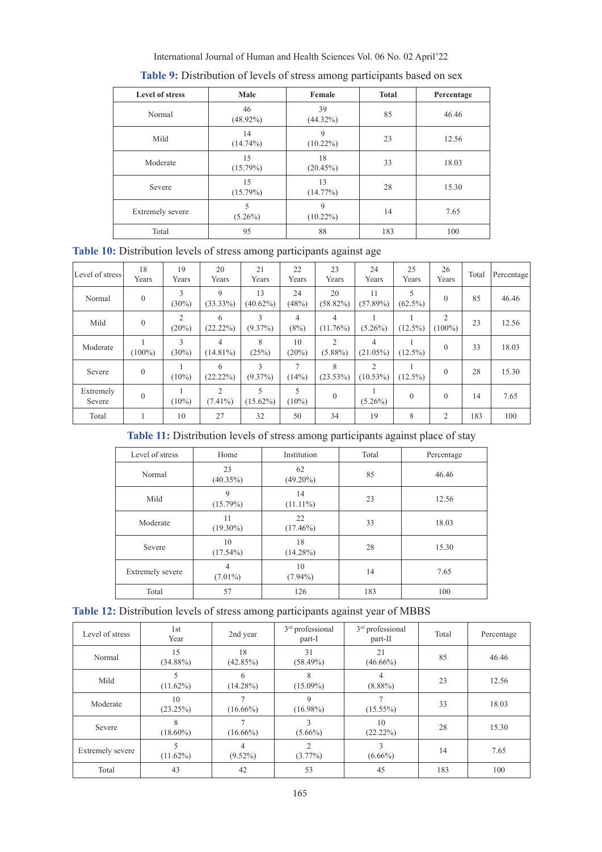| International Journal of Human and Health Sciences Vol. 06 No. 02 April'22 |  |
|----------------------------------------------------------------------------|--|
|----------------------------------------------------------------------------|--|

| <b>Level of stress</b>  | Male              | Female            | <b>Total</b> | Percentage |
|-------------------------|-------------------|-------------------|--------------|------------|
| Normal                  | 46<br>$(48.92\%)$ | 39<br>$(44.32\%)$ | 85           | 46.46      |
| Mild                    | 14<br>$(14.74\%)$ | 9<br>$(10.22\%)$  | 23           | 12.56      |
| Moderate                | 15<br>$(15.79\%)$ | 18<br>(20.45%)    | 33           | 18.03      |
| Severe                  | 15<br>$(15.79\%)$ | 13<br>$(14.77\%)$ | 28           | 15.30      |
| <b>Extremely</b> severe | 5<br>$(5.26\%)$   | 9<br>$(10.22\%)$  | 14           | 7.65       |
| Total                   | 95                | 88                | 183          | 100        |

| Table 9: Distribution of levels of stress among participants based on sex |  |  |
|---------------------------------------------------------------------------|--|--|
|---------------------------------------------------------------------------|--|--|

|  |  |  | Table 10: Distribution levels of stress among participants against age |
|--|--|--|------------------------------------------------------------------------|
|  |  |  |                                                                        |
|  |  |  |                                                                        |
|  |  |  |                                                                        |

| Level of stress     | 18<br>Years  | 19<br>Years                          | 20<br>Years      | 21<br>Years       | 22<br>Years             | 23<br>Years                  | 24<br>Years                   | 25<br>Years     | 26<br>Years    | Total | Percentage |
|---------------------|--------------|--------------------------------------|------------------|-------------------|-------------------------|------------------------------|-------------------------------|-----------------|----------------|-------|------------|
| Normal              | $\mathbf{0}$ | 3<br>$(30\%)$                        | 9<br>$(33.33\%)$ | 13<br>$(40.62\%)$ | 24<br>(48%)             | 20<br>$(58.82\%)$            | 11<br>$(57.89\%)$             | 5<br>$(62.5\%)$ | $\theta$       | 85    | 46.46      |
| Mild                | $\Omega$     | $\mathcal{D}_{\mathcal{L}}$<br>(20%) | 6<br>(22.22%)    | 3<br>$(9.37\%)$   | $\overline{4}$<br>(8%)  | 4<br>$(11.76\%)$             | $(5.26\%)$                    | $(12.5\%)$      | 2<br>$(100\%)$ | 23    | 12.56      |
| Moderate            | $(100\%)$    | 3<br>(30%)                           | 4<br>$(14.81\%)$ | 8<br>(25%)        | 10<br>(20%)             | $\overline{2}$<br>$(5.88\%)$ | 4<br>$(21.05\%)$              | $(12.5\%)$      | $\theta$       | 33    | 18.03      |
| Severe              | $\theta$     | $(10\%)$                             | 6<br>(22.22%)    | 3<br>$(9.37\%)$   | $\overline{7}$<br>(14%) | 8<br>$(23.53\%)$             | $\mathfrak{D}$<br>$(10.53\%)$ | $(12.5\%)$      | $\theta$       | 28    | 15.30      |
| Extremely<br>Severe | $\mathbf{0}$ | $(10\%)$                             | 2<br>$(7.41\%)$  | 5<br>$(15.62\%)$  | 5<br>$(10\%)$           | $\theta$                     | $(5.26\%)$                    | $\theta$        | $\theta$       | 14    | 7.65       |
| Total               |              | 10                                   | 27               | 32                | 50                      | 34                           | 19                            | 8               | $\overline{2}$ | 183   | 100        |

**Table 11:** Distribution levels of stress among participants against place of stay

| Level of stress  | Home                         | Institution       | Total | Percentage |  |
|------------------|------------------------------|-------------------|-------|------------|--|
| Normal           | 23<br>$(40.35\%)$            | 62<br>$(49.20\%)$ | 85    | 46.46      |  |
| Mild             | 9<br>(15.79%)                | 14<br>$(11.11\%)$ | 23    | 12.56      |  |
| Moderate         | 11<br>$(19.30\%)$            | 22<br>$(17.46\%)$ | 33    | 18.03      |  |
| Severe           | 10<br>$(17.54\%)$            | 18<br>$(14.28\%)$ | 28    | 15.30      |  |
| Extremely severe | $\overline{4}$<br>$(7.01\%)$ | 10<br>$(7.94\%)$  | 14    | 7.65       |  |
| Total            | 57                           | 126               | 183   | 100        |  |

|  |  |  | Table 12: Distribution levels of stress among participants against year of MBBS |
|--|--|--|---------------------------------------------------------------------------------|
|  |  |  |                                                                                 |

| Level of stress  | 1st<br>Year       | 2nd year          | $3rd$ professional<br>part-I | 3 <sup>rd</sup> professional<br>part-II | Total | Percentage |
|------------------|-------------------|-------------------|------------------------------|-----------------------------------------|-------|------------|
| Normal           | 15<br>$(34.88\%)$ | 18<br>$(42.85\%)$ | 31<br>$(58.49\%)$            | 21<br>$(46.66\%)$                       | 85    | 46.46      |
| Mild             | $(11.62\%)$       | 6<br>$(14.28\%)$  | 8<br>$(15.09\%)$             | $\overline{4}$<br>$(8.88\%)$            | 23    | 12.56      |
| Moderate         | 10<br>(23.25%)    | $(16.66\%)$       | 9<br>$(16.98\%)$             | $(15.55\%)$                             | 33    | 18.03      |
| Severe           | 8<br>$(18.60\%)$  | $(16.66\%)$       | $(5.66\%)$                   | 10<br>$(22.22\%)$                       | 28    | 15.30      |
| Extremely severe | $(11.62\%)$       | 4<br>$(9.52\%)$   | $\overline{c}$<br>$(3.77\%)$ | 3<br>$(6.66\%)$                         | 14    | 7.65       |
| Total            | 43                | 42                | 53                           | 45                                      | 183   | 100        |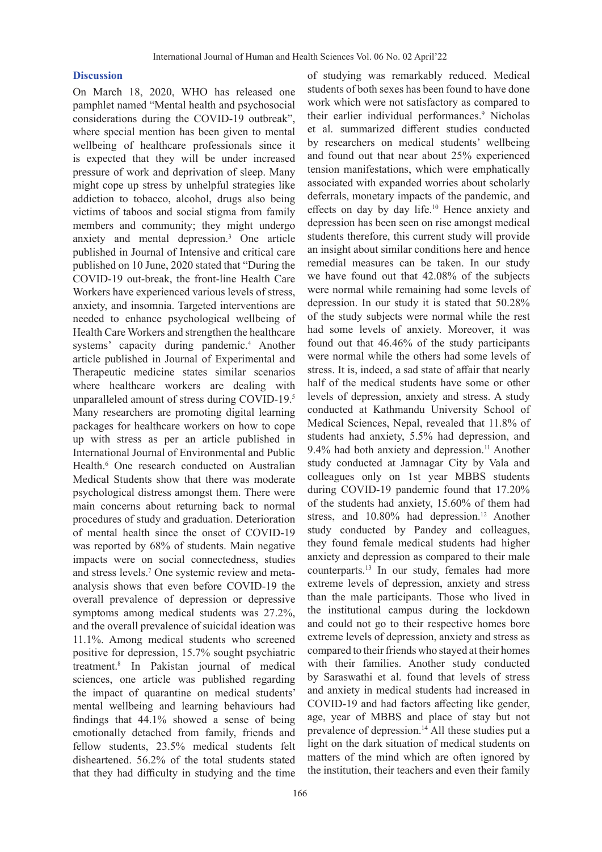## **Discussion**

On March 18, 2020, WHO has released one pamphlet named "Mental health and psychosocial considerations during the COVID-19 outbreak", where special mention has been given to mental wellbeing of healthcare professionals since it is expected that they will be under increased pressure of work and deprivation of sleep. Many might cope up stress by unhelpful strategies like addiction to tobacco, alcohol, drugs also being victims of taboos and social stigma from family members and community; they might undergo anxiety and mental depression.3 One article published in Journal of Intensive and critical care published on 10 June, 2020 stated that "During the COVID-19 out-break, the front-line Health Care Workers have experienced various levels of stress, anxiety, and insomnia. Targeted interventions are needed to enhance psychological wellbeing of Health Care Workers and strengthen the healthcare systems' capacity during pandemic.<sup>4</sup> Another article published in Journal of Experimental and Therapeutic medicine states similar scenarios where healthcare workers are dealing with unparalleled amount of stress during COVID-19.5 Many researchers are promoting digital learning packages for healthcare workers on how to cope up with stress as per an article published in International Journal of Environmental and Public Health.<sup>6</sup> One research conducted on Australian Medical Students show that there was moderate psychological distress amongst them. There were main concerns about returning back to normal procedures of study and graduation. Deterioration of mental health since the onset of COVID-19 was reported by 68% of students. Main negative impacts were on social connectedness, studies and stress levels.7 One systemic review and metaanalysis shows that even before COVID-19 the overall prevalence of depression or depressive symptoms among medical students was 27.2%, and the overall prevalence of suicidal ideation was 11.1%. Among medical students who screened positive for depression, 15.7% sought psychiatric treatment.8 In Pakistan journal of medical sciences, one article was published regarding the impact of quarantine on medical students' mental wellbeing and learning behaviours had findings that 44.1% showed a sense of being emotionally detached from family, friends and fellow students, 23.5% medical students felt disheartened. 56.2% of the total students stated that they had difficulty in studying and the time

of studying was remarkably reduced. Medical students of both sexes has been found to have done work which were not satisfactory as compared to their earlier individual performances.<sup>9</sup> Nicholas et al. summarized different studies conducted by researchers on medical students' wellbeing and found out that near about 25% experienced tension manifestations, which were emphatically associated with expanded worries about scholarly deferrals, monetary impacts of the pandemic, and effects on day by day life.10 Hence anxiety and depression has been seen on rise amongst medical students therefore, this current study will provide an insight about similar conditions here and hence remedial measures can be taken. In our study we have found out that 42.08% of the subjects were normal while remaining had some levels of depression. In our study it is stated that 50.28% of the study subjects were normal while the rest had some levels of anxiety. Moreover, it was found out that 46.46% of the study participants were normal while the others had some levels of stress. It is, indeed, a sad state of affair that nearly half of the medical students have some or other levels of depression, anxiety and stress. A study conducted at Kathmandu University School of Medical Sciences, Nepal, revealed that 11.8% of students had anxiety, 5.5% had depression, and 9.4% had both anxiety and depression.<sup>11</sup> Another study conducted at Jamnagar City by Vala and colleagues only on 1st year MBBS students during COVID-19 pandemic found that 17.20% of the students had anxiety, 15.60% of them had stress, and  $10.80\%$  had depression.<sup>12</sup> Another study conducted by Pandey and colleagues, they found female medical students had higher anxiety and depression as compared to their male counterparts.13 In our study, females had more extreme levels of depression, anxiety and stress than the male participants. Those who lived in the institutional campus during the lockdown and could not go to their respective homes bore extreme levels of depression, anxiety and stress as compared to their friends who stayed at their homes with their families. Another study conducted by Saraswathi et al. found that levels of stress and anxiety in medical students had increased in COVID-19 and had factors affecting like gender, age, year of MBBS and place of stay but not prevalence of depression.<sup>14</sup> All these studies put a light on the dark situation of medical students on matters of the mind which are often ignored by the institution, their teachers and even their family